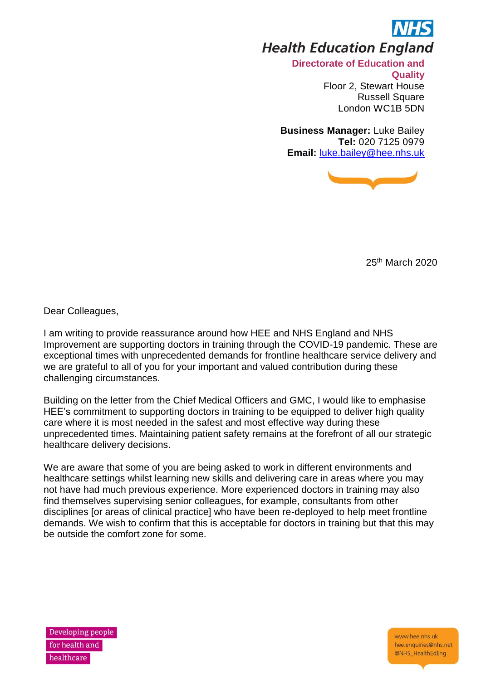

**Health Education England** 

**Directorate of Education and Quality**  Floor 2, Stewart House Russell Square London WC1B 5DN

**Business Manager:** Luke Bailey **Tel:** 020 7125 0979 **Email:** [luke.bailey@hee.nhs.uk](mailto:luke.bailey@hee.nhs.uk)



25th March 2020

Dear Colleagues,

I am writing to provide reassurance around how HEE and NHS England and NHS Improvement are supporting doctors in training through the COVID-19 pandemic. These are exceptional times with unprecedented demands for frontline healthcare service delivery and we are grateful to all of you for your important and valued contribution during these challenging circumstances.

Building on the letter from the Chief Medical Officers and GMC, I would like to emphasise HEE's commitment to supporting doctors in training to be equipped to deliver high quality care where it is most needed in the safest and most effective way during these unprecedented times. Maintaining patient safety remains at the forefront of all our strategic healthcare delivery decisions.

We are aware that some of you are being asked to work in different environments and healthcare settings whilst learning new skills and delivering care in areas where you may not have had much previous experience. More experienced doctors in training may also find themselves supervising senior colleagues, for example, consultants from other disciplines [or areas of clinical practice] who have been re-deployed to help meet frontline demands. We wish to confirm that this is acceptable for doctors in training but that this may be outside the comfort zone for some.

Developing people for health and healthcare

www.hee.nhs.uk hee enquiries@nhs net @NHS\_HealthEdEng